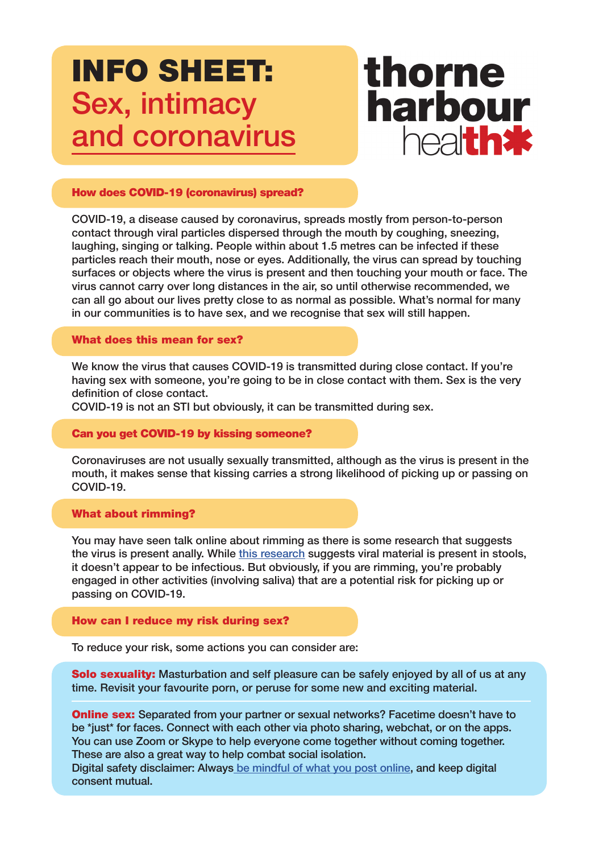# INFO SHEET: Sex, intimacy and coronavirus



# How does COVID-19 (coronavirus) spread?

COVID-19, a disease caused by coronavirus, spreads mostly from person-to-person contact through viral particles dispersed through the mouth by coughing, sneezing, laughing, singing or talking. People within about 1.5 metres can be infected if these particles reach their mouth, nose or eyes. Additionally, the virus can spread by touching surfaces or objects where the virus is present and then touching your mouth or face. The virus cannot carry over long distances in the air, so until otherwise recommended, we can all go about our lives pretty close to as normal as possible. What's normal for many in our communities is to have sex, and we recognise that sex will still happen.

#### What does this mean for sex?

We know the virus that causes COVID-19 is transmitted during close contact. If you're having sex with someone, you're going to be in close contact with them. Sex is the very definition of close contact.

COVID-19 is not an STI but obviously, it can be transmitted during sex.

#### Can you get COVID-19 by kissing someone?

Coronaviruses are not usually sexually transmitted, although as the virus is present in the mouth, it makes sense that kissing carries a strong likelihood of picking up or passing on COVID-19.

### What about rimming?

You may have seen talk online about rimming as there is some research that suggests the virus is present anally. While [this research](https://www.medscape.com/viewarticle/926682) suggests viral material is present in stools, it doesn't appear to be infectious. But obviously, if you are rimming, you're probably engaged in other activities (involving saliva) that are a potential risk for picking up or passing on COVID-19.

# How can I reduce my risk during sex?

To reduce your risk, some actions you can consider are:

**Solo sexuality:** Masturbation and self pleasure can be safely enjoyed by all of us at any time. Revisit your favourite porn, or peruse for some new and exciting material.

**Online sex:** Separated from your partner or sexual networks? Facetime doesn't have to be \*just\* for faces. Connect with each other via photo sharing, webchat, or on the apps. You can use Zoom or Skype to help everyone come together without coming together. These are also a great way to help combat social isolation.

Digital safety disclaimer: Always [be mindful of what you post online](https://emen8.com.au/nsfw/sending-nudes-and-filming-dudes-a-guide-for-law-abiding-citizens/), and keep digital consent mutual.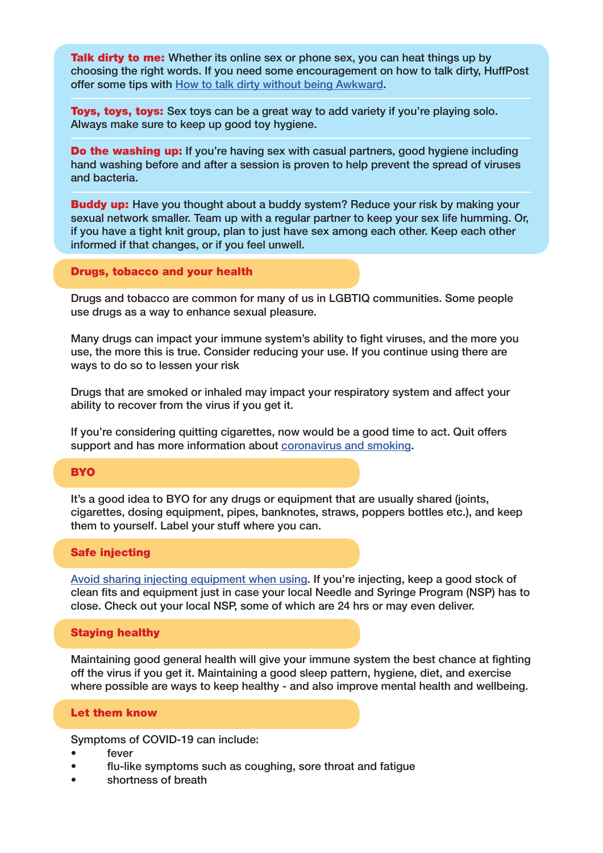**Talk dirty to me:** Whether its online sex or phone sex, you can heat things up by choosing the right words. If you need some encouragement on how to talk dirty, HuffPost offer some tips with [How to talk dirty without being Awkward](https://www.huffingtonpost.com.au/entry/how-to-talk-dirty_l_5cd0c71fe4b0548b735e9062).

**Toys, toys, toys:** Sex toys can be a great way to add variety if you're playing solo. Always make sure to keep up good toy hygiene.

**Do the washing up:** If you're having sex with casual partners, good hygiene including hand washing before and after a session is proven to help prevent the spread of viruses and bacteria.

**Buddy up:** Have you thought about a buddy system? Reduce your risk by making your sexual network smaller. Team up with a regular partner to keep your sex life humming. Or, if you have a tight knit group, plan to just have sex among each other. Keep each other informed if that changes, or if you feel unwell.

#### Drugs, tobacco and your health

Drugs and tobacco are common for many of us in LGBTIQ communities. Some people use drugs as a way to enhance sexual pleasure.

Many drugs can impact your immune system's ability to fight viruses, and the more you use, the more this is true. Consider reducing your use. If you continue using there are ways to do so to lessen your risk

Drugs that are smoked or inhaled may impact your respiratory system and affect your ability to recover from the virus if you get it.

If you're considering quitting cigarettes, now would be a good time to act. Quit offers support and has more information about [coronavirus and smoking.](https://www.quit.org.au/articles/faqs-coronavirus-covid-19-and-smoking/])

#### **BYO**

It's a good idea to BYO for any drugs or equipment that are usually shared (joints, cigarettes, dosing equipment, pipes, banknotes, straws, poppers bottles etc.), and keep them to yourself. Label your stuff where you can.

#### Safe injecting

[Avoid sharing injecting equipment when using](https://www.youtube.com/watch?v=SjRxkqXHe0c). If you're injecting, keep a good stock of clean fits and equipment just in case your local Needle and Syringe Program (NSP) has to close. Check out your local NSP, some of which are 24 hrs or may even deliver.

#### Staying healthy

Maintaining good general health will give your immune system the best chance at fighting off the virus if you get it. Maintaining a good sleep pattern, hygiene, diet, and exercise where possible are ways to keep healthy - and also improve mental health and wellbeing.

#### Let them know

Symptoms of COVID-19 can include:

- fever
- flu-like symptoms such as coughing, sore throat and fatigue
- shortness of breath